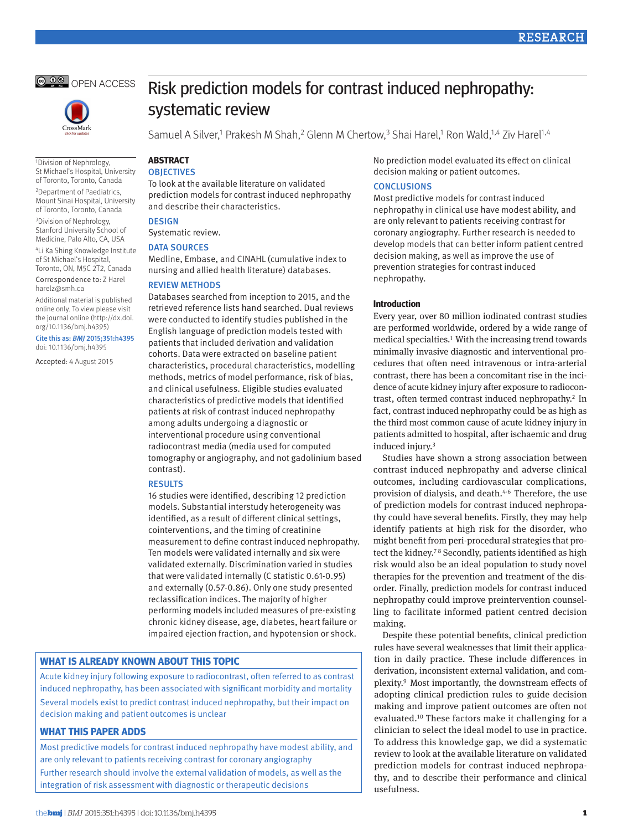



1Division of Nephrology, St Michael's Hospital, University of Toronto, Toronto, Canada

2Department of Paediatrics, Mount Sinai Hospital, University of Toronto, Toronto, Canada 3Division of Nephrology, Stanford University School of Medicine, Palo Alto, CA, USA

4Li Ka Shing Knowledge Institute of St Michael's Hospital, Toronto, ON, M5C 2T2, Canada

Correspondence to: Z Harel harelz@smh.ca

Additional material is published online only. To view please visit the journal online (http://dx.doi. org/10.1136/bmj.h4395)

Cite this as: *BMJ* 2015;351:h4395 doi: 10.1136/bmj.h4395

Accepted: 4 August 2015

# Risk prediction models for contrast induced nephropathy: systematic review

Samuel A Silver,<sup>1</sup> Prakesh M Shah,<sup>2</sup> Glenn M Chertow,<sup>3</sup> Shai Harel,<sup>1</sup> Ron Wald,<sup>1,4</sup> Ziv Harel<sup>1,4</sup>

#### **ABSTRACT OBJECTIVES**

To look at the available literature on validated prediction models for contrast induced nephropathy and describe their characteristics.

## **DESIGN**

Systematic review.

## DATA SOURCES

Medline, Embase, and CINAHL (cumulative index to nursing and allied health literature) databases.

#### Review methods

Databases searched from inception to 2015, and the retrieved reference lists hand searched. Dual reviews were conducted to identify studies published in the English language of prediction models tested with patients that included derivation and validation cohorts. Data were extracted on baseline patient characteristics, procedural characteristics, modelling methods, metrics of model performance, risk of bias, and clinical usefulness. Eligible studies evaluated characteristics of predictive models that identified patients at risk of contrast induced nephropathy among adults undergoing a diagnostic or interventional procedure using conventional radiocontrast media (media used for computed tomography or angiography, and not gadolinium based contrast).

#### Results

16 studies were identified, describing 12 prediction models. Substantial interstudy heterogeneity was identified, as a result of different clinical settings, cointerventions, and the timing of creatinine measurement to define contrast induced nephropathy. Ten models were validated internally and six were validated externally. Discrimination varied in studies that were validated internally (C statistic 0.61-0.95) and externally (0.57-0.86). Only one study presented reclassification indices. The majority of higher performing models included measures of pre-existing chronic kidney disease, age, diabetes, heart failure or impaired ejection fraction, and hypotension or shock.

## **What is already known about this topic**

Acute kidney injury following exposure to radiocontrast, often referred to as contrast induced nephropathy, has been associated with significant morbidity and mortality Several models exist to predict contrast induced nephropathy, but their impact on decision making and patient outcomes is unclear

## **What this paper adds**

Most predictive models for contrast induced nephropathy have modest ability, and are only relevant to patients receiving contrast for coronary angiography Further research should involve the external validation of models, as well as the integration of risk assessment with diagnostic or therapeutic decisions

No prediction model evaluated its effect on clinical decision making or patient outcomes.

## **CONCLUSIONS**

Most predictive models for contrast induced nephropathy in clinical use have modest ability, and are only relevant to patients receiving contrast for coronary angiography. Further research is needed to develop models that can better inform patient centred decision making, as well as improve the use of prevention strategies for contrast induced nephropathy.

#### **Introduction**

Every year, over 80 million iodinated contrast studies are performed worldwide, ordered by a wide range of medical specialties.[1](#page-8-0) With the increasing trend towards minimally invasive diagnostic and interventional procedures that often need intravenous or intra-arterial contrast, there has been a concomitant rise in the incidence of acute kidney injury after exposure to radiocontrast, often termed contrast induced nephropathy[.2](#page-8-1) In fact, contrast induced nephropathy could be as high as the third most common cause of acute kidney injury in patients admitted to hospital, after ischaemic and drug induced injury.<sup>[3](#page-8-2)</sup>

Studies have shown a strong association between contrast induced nephropathy and adverse clinical outcomes, including cardiovascular complications, provision of dialysis, and death.<sup>[4-](#page-8-3)[6](#page-8-4)</sup> Therefore, the use of prediction models for contrast induced nephropathy could have several benefits. Firstly, they may help identify patients at high risk for the disorder, who might benefit from peri-procedural strategies that pro-tect the kidney.<sup>[7](#page-8-5)8</sup> Secondly, patients identified as high risk would also be an ideal population to study novel therapies for the prevention and treatment of the disorder. Finally, prediction models for contrast induced nephropathy could improve preintervention counselling to facilitate informed patient centred decision making.

Despite these potential benefits, clinical prediction rules have several weaknesses that limit their application in daily practice. These include differences in derivation, inconsistent external validation, and complexity.[9](#page-8-7) Most importantly, the downstream effects of adopting clinical prediction rules to guide decision making and improve patient outcomes are often not evaluated.[10](#page-8-8) These factors make it challenging for a clinician to select the ideal model to use in practice. To address this knowledge gap, we did a systematic review to look at the available literature on validated prediction models for contrast induced nephropathy, and to describe their performance and clinical usefulness.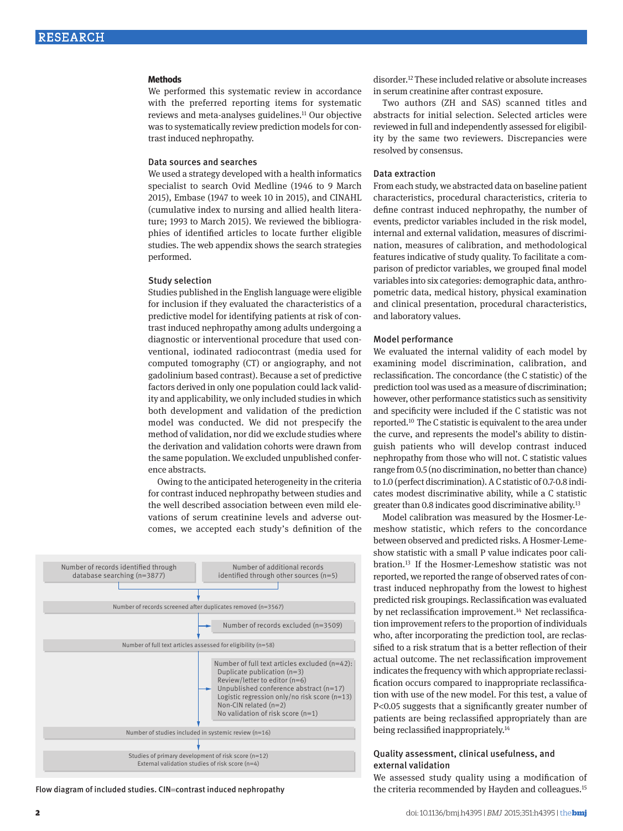#### **Methods**

We performed this systematic review in accordance with the preferred reporting items for systematic reviews and meta-analyses guidelines[.11](#page-8-9) Our objective was to systematically review prediction models for contrast induced nephropathy.

#### Data sources and searches

We used a strategy developed with a health informatics specialist to search Ovid Medline (1946 to 9 March 2015), Embase (1947 to week 10 in 2015), and CINAHL (cumulative index to nursing and allied health literature; 1993 to March 2015). We reviewed the bibliographies of identified articles to locate further eligible studies. The web appendix shows the search strategies performed.

#### Study selection

Studies published in the English language were eligible for inclusion if they evaluated the characteristics of a predictive model for identifying patients at risk of contrast induced nephropathy among adults undergoing a diagnostic or interventional procedure that used conventional, iodinated radiocontrast (media used for computed tomography (CT) or angiography, and not gadolinium based contrast). Because a set of predictive factors derived in only one population could lack validity and applicability, we only included studies in which both development and validation of the prediction model was conducted. We did not prespecify the method of validation, nor did we exclude studies where the derivation and validation cohorts were drawn from the same population. We excluded unpublished conference abstracts.

Owing to the anticipated heterogeneity in the criteria for contrast induced nephropathy between studies and the well described association between even mild elevations of serum creatinine levels and adverse outcomes, we accepted each study's definition of the



Flow diagram of included studies. CIN=contrast induced nephropathy

disorder[.12](#page-8-10) These included relative or absolute increases in serum creatinine after contrast exposure.

Two authors (ZH and SAS) scanned titles and abstracts for initial selection. Selected articles were reviewed in full and independently assessed for eligibility by the same two reviewers. Discrepancies were resolved by consensus.

#### Data extraction

From each study, we abstracted data on baseline patient characteristics, procedural characteristics, criteria to define contrast induced nephropathy, the number of events, predictor variables included in the risk model, internal and external validation, measures of discrimination, measures of calibration, and methodological features indicative of study quality. To facilitate a comparison of predictor variables, we grouped final model variables into six categories: demographic data, anthropometric data, medical history, physical examination and clinical presentation, procedural characteristics, and laboratory values.

#### Model performance

We evaluated the internal validity of each model by examining model discrimination, calibration, and reclassification. The concordance (the C statistic) of the prediction tool was used as a measure of discrimination; however, other performance statistics such as sensitivity and specificity were included if the C statistic was not reported.[10](#page-8-8) The C statistic is equivalent to the area under the curve, and represents the model's ability to distinguish patients who will develop contrast induced nephropathy from those who will not. C statistic values range from 0.5 (no discrimination, no better than chance) to 1.0 (perfect discrimination). A C statistic of 0.7-0.8 indicates modest discriminative ability, while a C statistic greater than 0.8 indicates good discriminative ability[.13](#page-9-0)

Model calibration was measured by the Hosmer-Lemeshow statistic, which refers to the concordance between observed and predicted risks. A Hosmer-Lemeshow statistic with a small P value indicates poor calibration[.13](#page-9-0) If the Hosmer-Lemeshow statistic was not reported, we reported the range of observed rates of contrast induced nephropathy from the lowest to highest predicted risk groupings. Reclassification was evaluated by net reclassification improvement.<sup>[14](#page-9-1)</sup> Net reclassification improvement refers to the proportion of individuals who, after incorporating the prediction tool, are reclassified to a risk stratum that is a better reflection of their actual outcome. The net reclassification improvement indicates the frequency with which appropriate reclassification occurs compared to inappropriate reclassification with use of the new model. For this test, a value of P<0.05 suggests that a significantly greater number of patients are being reclassified appropriately than are being reclassified inappropriately.<sup>[14](#page-9-1)</sup>

# Quality assessment, clinical usefulness, and external validation

We assessed study quality using a modification of the criteria recommended by Hayden and colleagues[.15](#page-9-2)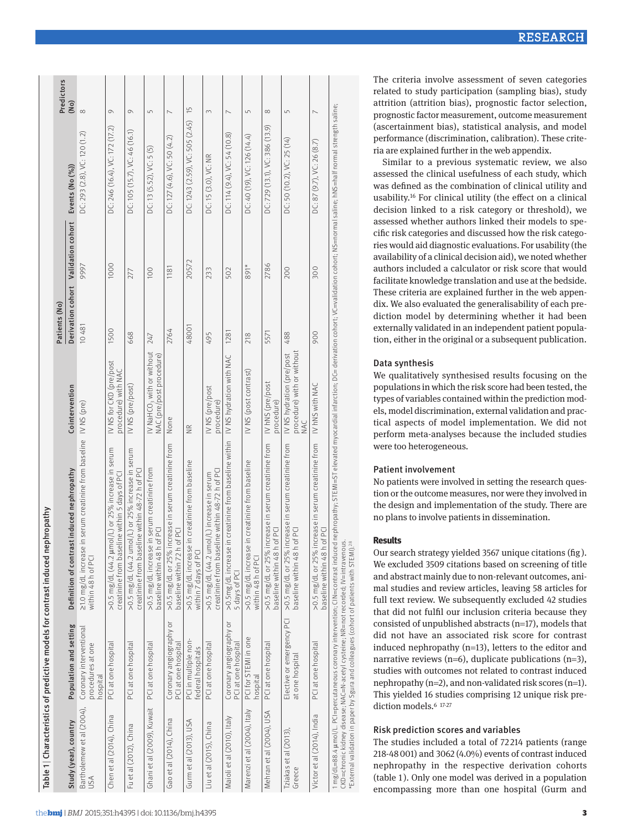|                                                                                 | Predictors    | (Mo)                                           |                                                                                |                                                                                                            |                                                                                                     |                                                                                   |                                                                                       |                                                                            |                                                                                              |                                                                           |                                                                          |                                                                                       |                                                                                       |                                                                                                           |                                                                                                                                                                                                                                                                                  | The criteria involve assessment of seven categories<br>related to study participation (sampling bias), study<br>attrition (attrition bias), prognostic factor selection,                                                                                                                                                                                                                                                                                                                                                                                                                                      |
|---------------------------------------------------------------------------------|---------------|------------------------------------------------|--------------------------------------------------------------------------------|------------------------------------------------------------------------------------------------------------|-----------------------------------------------------------------------------------------------------|-----------------------------------------------------------------------------------|---------------------------------------------------------------------------------------|----------------------------------------------------------------------------|----------------------------------------------------------------------------------------------|---------------------------------------------------------------------------|--------------------------------------------------------------------------|---------------------------------------------------------------------------------------|---------------------------------------------------------------------------------------|-----------------------------------------------------------------------------------------------------------|----------------------------------------------------------------------------------------------------------------------------------------------------------------------------------------------------------------------------------------------------------------------------------|---------------------------------------------------------------------------------------------------------------------------------------------------------------------------------------------------------------------------------------------------------------------------------------------------------------------------------------------------------------------------------------------------------------------------------------------------------------------------------------------------------------------------------------------------------------------------------------------------------------|
|                                                                                 |               | Events (No (%))                                | $\infty$<br>DC: 293 (2.8), VC: 120 (1.2)                                       | $\circ$<br>DC: 246 (16.4), VC: 172 (17.2)                                                                  | $\circlearrowright$<br>DC: 105 (15.7), VC: 46 (16.1)                                                | $\sqrt{ }$<br>DC: 13 (5.52), VC: 5 (5)                                            | $\sim$<br>DC: 127 (4.6), VC: 50 (4.2)                                                 | $\frac{5}{2}$<br>DC: 1243 (2.59), VC: 505 (2.45)                           | $\infty$<br>DC: 15 (3.0), VC: NR                                                             | $\overline{\phantom{0}}$<br>DC: 114 (9.4), VC: 54 (10.8)                  | $\overline{L}$<br>DC: 40 (19), VC: 126 (14.4)                            | $\infty$<br>DC: 729 (13.1), VC: 386 (13.9)                                            | $\overline{L}$<br>DC: 50 (10.2), VC: 25 (14)                                          | $\overline{ }$<br>DC: 87 (9.7), VC: 26 (8.7)                                                              | nephropathy; STEMI=ST elevated myocardial infarction; DC= derivation cohort; VC=validation cohort; NS=normal saline; hNS=half normal strength saline;                                                                                                                            | prognostic factor measurement, outcome measurement<br>(ascertainment bias), statistical analysis, and model<br>performance (discrimination, calibration). These crite-<br>ria are explained further in the web appendix.<br>Similar to a previous systematic review, we also<br>assessed the clinical usefulness of each study, which<br>was defined as the combination of clinical utility and<br>usability. <sup>16</sup> For clinical utility (the effect on a clinical<br>decision linked to a risk category or threshold), we                                                                            |
|                                                                                 |               | Validation cohort                              | 9997                                                                           | 1000                                                                                                       | 277                                                                                                 | 100                                                                               | 1181                                                                                  | 20572                                                                      | 233                                                                                          | 502                                                                       | 891*                                                                     | 2786                                                                                  | 200                                                                                   | 300                                                                                                       |                                                                                                                                                                                                                                                                                  | assessed whether authors linked their models to spe-<br>cific risk categories and discussed how the risk catego-<br>ries would aid diagnostic evaluations. For usability (the<br>availability of a clinical decision aid), we noted whether<br>authors included a calculator or risk score that would<br>facilitate knowledge translation and use at the bedside.                                                                                                                                                                                                                                             |
|                                                                                 | Patients (No) | Derivation cohort                              | 10481                                                                          | 1500                                                                                                       | 668                                                                                                 | 247                                                                               | 2764                                                                                  | 48001                                                                      | 495                                                                                          | 1281                                                                      | 218                                                                      | 5571                                                                                  | 488                                                                                   | 900                                                                                                       |                                                                                                                                                                                                                                                                                  | These criteria are explained further in the web appen-<br>dix. We also evaluated the generalisability of each pre-<br>diction model by determining whether it had been<br>externally validated in an independent patient popula-<br>tion, either in the original or a subsequent publication.                                                                                                                                                                                                                                                                                                                 |
|                                                                                 |               | Cointervention                                 | IV NS (pre)                                                                    | IV NS for CKD (pre/post<br>procedure) with NAC                                                             | IV NS (pre/post)                                                                                    | IV NaHCO <sub>3</sub> with or without<br>NAC (pre/post procedure)                 | None                                                                                  | $\widetilde{\Xi}$                                                          | IV NS (pre/post<br>procedure)                                                                | IV NS hydration with NAC                                                  | IV NS (post contrast)                                                    | IV hNS (pre/post<br>procedure)                                                        | procedure) with or without<br>IV NS hydration (pre/post<br>MAC                        | IV hNS with NAC                                                                                           |                                                                                                                                                                                                                                                                                  | Data synthesis<br>We qualitatively synthesised results focusing on the<br>populations in which the risk score had been tested, the<br>types of variables contained within the prediction mod-<br>els, model discrimination, external validation and prac-<br>tical aspects of model implementation. We did not<br>perform meta-analyses because the included studies                                                                                                                                                                                                                                          |
|                                                                                 |               | st induced nephropathy<br>Definition of contra | in serum creatinine from baseline<br>21.0 mg/dL increase<br>within 48 h of PCI | ol/L) or 25% increase in serum<br>line within 5 days of PCI<br>>0.5 mg/dL (44.2 µm<br>creatinine from base | >0.5 mg/dL (44.2 umol/L) or 25% increase in serum<br>creatinine from baseline within 48-72 h of PCI | in serum creatinine from<br>of PCI<br>>0.5 mg/dL increase<br>baseline within 48 h | >0.5 mg/dL or 25% increase in serum creatinine from<br>of PCI<br>baseline within 72 h | in creatinine from baseline<br>>0.5 mg/dL increase<br>within 7 days of PCI | >0.5 mg/dL (44.2 umol/L) increase in serum<br>creatinine from baseline within 48-72 h of PCI | in creatinine from baseline within<br>>0.5mg/dL increase<br>5 days of PCI | in creatinine from baseline<br>>0.5 mg/dL increase<br>within 48 h of PCI | >0.5 mg/dL or 25% increase in serum creatinine from<br>of PCI<br>baseline within 48 h | >0.5 mg/dL or 25% increase in serum creatinine from<br>of PCI<br>baseline within 48 h | icrease in serum creatinine from<br>PCI<br>$\overline{5}$<br>>0.5 mg/dL or 25% in<br>baseline within 48 h |                                                                                                                                                                                                                                                                                  | were too heterogeneous.<br><b>Patient involvement</b><br>No patients were involved in setting the research ques-<br>tion or the outcome measures, nor were they involved in<br>the design and implementation of the study. There are<br>no plans to involve patients in dissemination.<br><b>Results</b><br>Our search strategy yielded 3567 unique citations (fig).<br>We excluded 3509 citations based on screening of title<br>and abstract mainly due to non-relevant outcomes, ani-<br>mal studies and review articles, leaving 58 articles for<br>full text review. We subsequently excluded 42 studies |
| Table 1   Characteristics of predictive models for contrast induced nephropathy |               | Population and setting                         | Coronary interventional<br>procedures at one<br>hospital                       | PCI at one hospital                                                                                        | PCI at one hospital                                                                                 | PCI at one hospital                                                               | Coronary angiography or<br>PCI at one hospital                                        | PCI in multiple non-<br>federal hospitals                                  | PCI at one hospital                                                                          | Coronary angiography or<br>PCI at one hospital                            | PCI for STEMI in one<br>hospital                                         | PCI at one hospital                                                                   | Elective or emergency PCI<br>at one hospital                                          | PCI at one hospital                                                                                       | CKD=chronic kidney disease; NAC=N-acetyl cysteine; NR=not recorded; IV=intravenous.<br>*External validation in paper by Sgura and colleagues (cohort of patients with STEMI). <sup>28</sup><br>1 mg/dL=88.4 µmol/L. PCI=percutaneous coronary intervention; CIN=contrast induced | that did not fulfil our inclusion criteria because they<br>consisted of unpublished abstracts (n=17), models that<br>did not have an associated risk score for contrast<br>induced nephropathy $(n=13)$ , letters to the editor and<br>narrative reviews (n=6), duplicate publications (n=3),<br>studies with outcomes not related to contrast induced<br>nephropathy (n=2), and non-validated risk scores (n=1).<br>This yielded 16 studies comprising 12 unique risk pre-<br>diction models. <sup>6 17-27</sup>                                                                                             |
|                                                                                 |               | Study (year), country                          | Bartholemew et al (2004),<br>USA                                               | Chen et al (2014), China                                                                                   | Fu et al (2012), China                                                                              | Ghani et al (2009), Kuwait                                                        | Gao et al (2014), China                                                               | Gurm et al (2013), USA                                                     | Liu et al (2015), China                                                                      | Maioli et al (2010), Italy                                                | Marenzi et al (2004), Italy                                              | Mehran et al (2004), USA                                                              | Tziakas et al (2013),<br>Greece                                                       | Victor et al (2014), India                                                                                |                                                                                                                                                                                                                                                                                  | Risk prediction scores and variables<br>The studies included a total of 72214 patients (range<br>218-48 001) and 3062 (4.0%) events of contrast induced<br>nephropathy in the respective derivation cohorts<br>(table 1). Only one model was derived in a population<br>encompassing more than one hospital (Gurm and                                                                                                                                                                                                                                                                                         |

## Data synthesis

## Patient involvement

# **Results**

#### Risk prediction scores and variables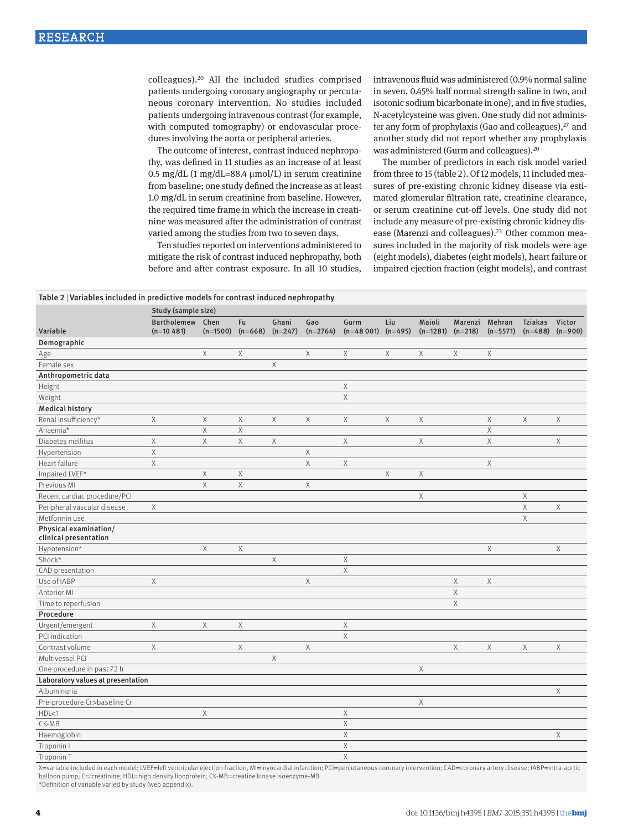colleagues).[20](#page-9-6) All the included studies comprised patients undergoing coronary angiography or percutaneous coronary intervention. No studies included patients undergoing intravenous contrast (for example, with computed tomography) or endovascular procedures involving the aorta or peripheral arteries.

The outcome of interest, contrast induced nephropathy, was defined in 11 studies as an increase of at least 0.5 mg/dL (1 mg/dL=88.4 μmol/L) in serum creatinine from baseline; one study defined the increase as at least 1.0 mg/dL in serum creatinine from baseline. However, the required time frame in which the increase in creatinine was measured after the administration of contrast varied among the studies from two to seven days.

Ten studies reported on interventions administered to mitigate the risk of contrast induced nephropathy, both before and after contrast exposure. In all 10 studies,

intravenous fluid was administered (0.9% normal saline in seven, 0.45% half normal strength saline in two, and isotonic sodium bicarbonate in one), and in five studies, N-acetylcysteine was given. One study did not administer any form of prophylaxis (Gao and colleagues), $27$  and another study did not report whether any prophylaxis was administered (Gurm and colleagues).[20](#page-9-6)

The number of predictors in each risk model varied from three to 15 (table 2). Of 12 models, 11 included measures of pre-existing chronic kidney disease via estimated glomerular filtration rate, creatinine clearance, or serum creatinine cut-off levels. One study did not include any measure of pre-existing chronic kidney disease (Marenzi and colleagues).<sup>23</sup> Other common measures included in the majority of risk models were age (eight models), diabetes (eight models), heart failure or impaired ejection fraction (eight models), and contrast

## Table 2 | Variables included in predictive models for contrast induced nephropathy

|                                   | Study (sample size) |             |             |             |             |             |             |             |             |             |                |             |
|-----------------------------------|---------------------|-------------|-------------|-------------|-------------|-------------|-------------|-------------|-------------|-------------|----------------|-------------|
|                                   | <b>Bartholemew</b>  | Chen        | Fu          | Ghani       | Gao         | Gurm        | Liu         | Maioli      | Marenzi     | Mehran      | <b>Tziakas</b> | Victor      |
| Variable                          | $(n=10 481)$        | $(n=1500)$  | $(n=668)$   | $(n=247)$   | $(n=2764)$  | $(n=48001)$ | $(n=495)$   | $(n=1281)$  | $(n=218)$   | $(n=5571)$  | $(n=488)$      | $(n=900)$   |
| Demographic                       |                     |             |             |             |             |             |             |             |             |             |                |             |
| Age                               |                     | $\times$    | $\mathsf X$ |             | X           | X           | $\mathsf X$ | X           | Χ           | $\mathsf X$ |                |             |
| Female sex                        |                     |             |             | $\mathsf X$ |             |             |             |             |             |             |                |             |
| Anthropometric data               |                     |             |             |             |             |             |             |             |             |             |                |             |
| Height                            |                     |             |             |             |             | Χ           |             |             |             |             |                |             |
| Weight                            |                     |             |             |             |             | $\mathsf X$ |             |             |             |             |                |             |
| <b>Medical history</b>            |                     |             |             |             |             |             |             |             |             |             |                |             |
| Renal insufficiency*              | $\times$            | $\mathsf X$ | $\mathsf X$ | $\mathsf X$ | $\times$    | $\times$    | $\mathsf X$ | $\mathsf X$ |             | $\mathsf X$ | $\mathsf X$    | $\times$    |
| Anaemia*                          |                     | $\times$    | $\mathsf X$ |             |             |             |             |             |             | $\mathsf X$ |                |             |
| Diabetes mellitus                 | Χ                   | X           | X           | X           |             | $\times$    |             | $\mathsf X$ |             | $\mathsf X$ |                | Χ           |
| Hypertension                      | $\times$            |             |             |             | X           |             |             |             |             |             |                |             |
| Heart failure                     | $\times$            |             |             |             | $\times$    | X           |             |             |             | $\mathsf X$ |                |             |
| Impaired LVEF*                    |                     | $\mathsf X$ | $\mathsf X$ |             |             |             | $\mathsf X$ | $\mathsf X$ |             |             |                |             |
| Previous MI                       |                     | $\mathsf X$ | $\mathsf X$ |             | $\mathsf X$ |             |             |             |             |             |                |             |
| Recent cardiac procedure/PCI      |                     |             |             |             |             |             |             | $\mathsf X$ |             |             | Χ              |             |
| Peripheral vascular disease       | Χ                   |             |             |             |             |             |             |             |             |             | Χ              | $\mathsf X$ |
| Metformin use                     |                     |             |             |             |             |             |             |             |             |             | $\times$       |             |
| Physical examination/             |                     |             |             |             |             |             |             |             |             |             |                |             |
| clinical presentation             |                     |             |             |             |             |             |             |             |             |             |                |             |
| Hypotension*                      |                     | X           | $\mathsf X$ |             |             |             |             |             |             | $\mathsf X$ |                | Χ           |
| Shock*                            |                     |             |             | $\mathsf X$ |             | $\mathsf X$ |             |             |             |             |                |             |
| CAD presentation                  |                     |             |             |             |             | $\times$    |             |             |             |             |                |             |
| Use of IABP                       | $\times$            |             |             |             | $\times$    |             |             |             | $\mathsf X$ | $\mathsf X$ |                |             |
| Anterior MI                       |                     |             |             |             |             |             |             |             | $\mathsf X$ |             |                |             |
| Time to reperfusion               |                     |             |             |             |             |             |             |             | X           |             |                |             |
| Procedure                         |                     |             |             |             |             |             |             |             |             |             |                |             |
| Urgent/emergent                   | X                   | $\mathsf X$ | $\mathsf X$ |             |             | $\mathsf X$ |             |             |             |             |                |             |
| PCI indication                    |                     |             |             |             |             | $\mathsf X$ |             |             |             |             |                |             |
| Contrast volume                   | $\mathsf X$         |             | $\mathsf X$ |             | $\mathsf X$ |             |             |             | $\mathsf X$ | $\mathsf X$ | $\mathsf X$    | X           |
| Multivessel PCI                   |                     |             |             | $\mathsf X$ |             |             |             |             |             |             |                |             |
| One procedure in past 72 h        |                     |             |             |             |             |             |             | $\mathsf X$ |             |             |                |             |
| Laboratory values at presentation |                     |             |             |             |             |             |             |             |             |             |                |             |
| Albuminuria                       |                     |             |             |             |             |             |             |             |             |             |                | X           |
| Pre-procedure Cr>baseline Cr      |                     |             |             |             |             |             |             | $\mathsf X$ |             |             |                |             |
| HDL<1                             |                     | $\mathsf X$ |             |             |             | $\mathsf X$ |             |             |             |             |                |             |
| $CK-MB$                           |                     |             |             |             |             | X           |             |             |             |             |                |             |
| Haemoglobin                       |                     |             |             |             |             | $\mathsf X$ |             |             |             |             |                | X           |
| Troponin I                        |                     |             |             |             |             | $\times$    |             |             |             |             |                |             |
| Troponin T                        |                     |             |             |             |             | $\mathsf X$ |             |             |             |             |                |             |

X=variable included in each model; LVEF=left ventricular ejection fraction, MI=myocardial infarction; PCI=percutaneous coronary intervention; CAD=coronary artery disease; IABP=intra-aortic balloon pump; Cr=creatinine; HDL=high density lipoprotein; CK-MB=creatine kinase isoenzyme-MB. \*Definition of variable varied by study (web appendix).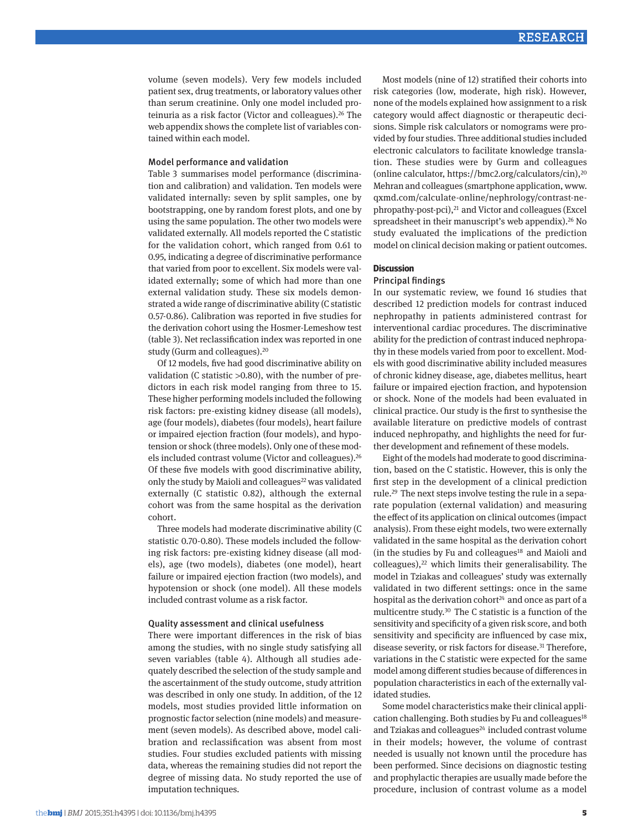volume (seven models). Very few models included patient sex, drug treatments, or laboratory values other than serum creatinine. Only one model included proteinuria as a risk factor (Victor and colleagues).[26](#page-9-8) The web appendix shows the complete list of variables contained within each model.

#### Model performance and validation

Table 3 summarises model performance (discrimination and calibration) and validation. Ten models were validated internally: seven by split samples, one by bootstrapping, one by random forest plots, and one by using the same population. The other two models were validated externally. All models reported the C statistic for the validation cohort, which ranged from 0.61 to 0.95, indicating a degree of discriminative performance that varied from poor to excellent. Six models were validated externally; some of which had more than one external validation study. These six models demonstrated a wide range of discriminative ability (C statistic 0.57-0.86). Calibration was reported in five studies for the derivation cohort using the Hosmer-Lemeshow test (table 3). Net reclassification index was reported in one study (Gurm and colleagues).[20](#page-9-6)

Of 12 models, five had good discriminative ability on validation (C statistic >0.80), with the number of predictors in each risk model ranging from three to 15. These higher performing models included the following risk factors: pre-existing kidney disease (all models), age (four models), diabetes (four models), heart failure or impaired ejection fraction (four models), and hypotension or shock (three models). Only one of these models included contrast volume (Victor and colleagues).<sup>26</sup> Of these five models with good discriminative ability, only the study by Maioli and colleagues<sup>22</sup> was validated externally (C statistic 0.82), although the external cohort was from the same hospital as the derivation cohort.

Three models had moderate discriminative ability (C statistic 0.70-0.80). These models included the following risk factors: pre-existing kidney disease (all models), age (two models), diabetes (one model), heart failure or impaired ejection fraction (two models), and hypotension or shock (one model). All these models included contrast volume as a risk factor.

## Quality assessment and clinical usefulness

There were important differences in the risk of bias among the studies, with no single study satisfying all seven variables (table 4). Although all studies adequately described the selection of the study sample and the ascertainment of the study outcome, study attrition was described in only one study. In addition, of the 12 models, most studies provided little information on prognostic factor selection (nine models) and measurement (seven models). As described above, model calibration and reclassification was absent from most studies. Four studies excluded patients with missing data, whereas the remaining studies did not report the degree of missing data. No study reported the use of imputation techniques.

Most models (nine of 12) stratified their cohorts into risk categories (low, moderate, high risk). However, none of the models explained how assignment to a risk category would affect diagnostic or therapeutic decisions. Simple risk calculators or nomograms were provided by four studies. Three additional studies included electronic calculators to facilitate knowledge translation. These studies were by Gurm and colleagues (online calculator, [https://bmc2.org/calculators/cin\)](https://bmc2.org/calculators/cin)[,20](#page-9-6) Mehran and colleagues (smartphone application, [www.](http://www.qxmd.com/calculate-online/nephrology/contrast-nephropathy-post-pci) [qxmd.com/calculate-online/nephrology/contrast-ne](http://www.qxmd.com/calculate-online/nephrology/contrast-nephropathy-post-pci)[phropathy-post-pci](http://www.qxmd.com/calculate-online/nephrology/contrast-nephropathy-post-pci)),[21](#page-9-10) and Victor and colleagues (Excel spreadsheet in their manuscript's web appendix).<sup>26</sup> No study evaluated the implications of the prediction model on clinical decision making or patient outcomes.

#### **Discussion**

#### Principal findings

In our systematic review, we found 16 studies that described 12 prediction models for contrast induced nephropathy in patients administered contrast for interventional cardiac procedures. The discriminative ability for the prediction of contrast induced nephropathy in these models varied from poor to excellent. Models with good discriminative ability included measures of chronic kidney disease, age, diabetes mellitus, heart failure or impaired ejection fraction, and hypotension or shock. None of the models had been evaluated in clinical practice. Our study is the first to synthesise the available literature on predictive models of contrast induced nephropathy, and highlights the need for further development and refinement of these models.

Eight of the models had moderate to good discrimination, based on the C statistic. However, this is only the first step in the development of a clinical prediction rule.[29](#page-9-11) The next steps involve testing the rule in a separate population (external validation) and measuring the effect of its application on clinical outcomes (impact analysis). From these eight models, two were externally validated in the same hospital as the derivation cohort (in the studies by Fu and colleagues $18$  and Maioli and  $\text{colleagues}$ ,<sup>[22](#page-9-9)</sup> which limits their generalisability. The model in Tziakas and colleagues' study was externally validated in two different settings: once in the same hospital as the derivation cohort<sup>24</sup> and once as part of a multicentre study[.30](#page-9-14) The C statistic is a function of the sensitivity and specificity of a given risk score, and both sensitivity and specificity are influenced by case mix, disease severity, or risk factors for disease.<sup>31</sup> Therefore, variations in the C statistic were expected for the same model among different studies because of differences in population characteristics in each of the externally validated studies.

Some model characteristics make their clinical appli-cation challenging. Both studies by Fu and colleagues<sup>[18](#page-9-12)</sup> and Tziakas and colleagues<sup>24</sup> included contrast volume in their models; however, the volume of contrast needed is usually not known until the procedure has been performed. Since decisions on diagnostic testing and prophylactic therapies are usually made before the procedure, inclusion of contrast volume as a model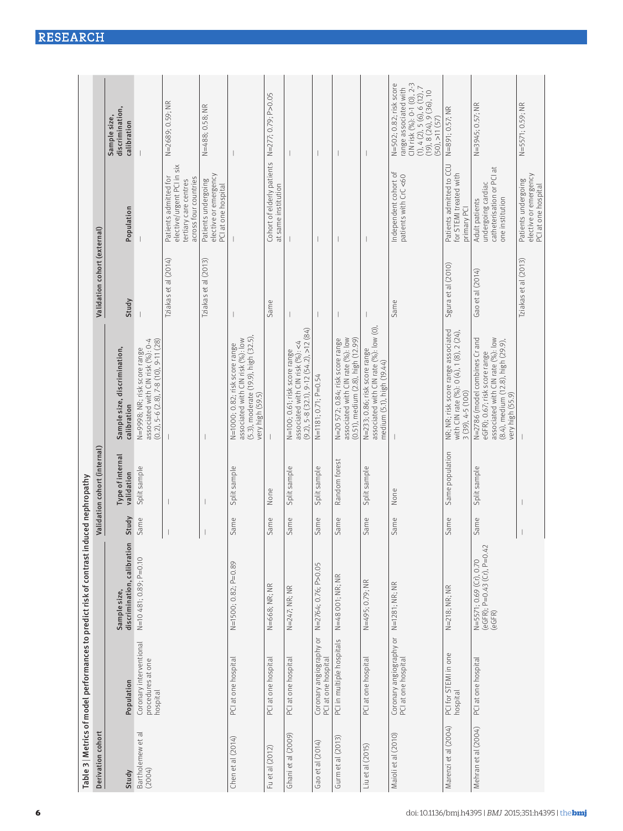|                             |                                                          | Table 3   Metrics of model performances to predict risk of contrast ind |       | uced nephropathy               |                                                                                                                                                              |                              |                                                                                                       |                                                                                                                                                                                |
|-----------------------------|----------------------------------------------------------|-------------------------------------------------------------------------|-------|--------------------------------|--------------------------------------------------------------------------------------------------------------------------------------------------------------|------------------------------|-------------------------------------------------------------------------------------------------------|--------------------------------------------------------------------------------------------------------------------------------------------------------------------------------|
| Derivation cohort           |                                                          |                                                                         |       | Validation cohort (internal)   |                                                                                                                                                              | Validation cohort (external) |                                                                                                       |                                                                                                                                                                                |
| Study                       | Population                                               | discrimination, calibration<br>Sample size,                             | Study | Type of internal<br>validation | Sample size, discrimination,<br>calibration                                                                                                                  | Study                        | Population                                                                                            | discrimination,<br>Sample size,<br>calibration                                                                                                                                 |
| Bartholemew et al<br>(2004) | Coronary interventional<br>procedures at one<br>hospital | N=10481; 0.89; P=0.10                                                   | Same  | Split sample                   | associated with CIN risk (%): 0-4<br>$(0.2)$ , 5-6 $(2.8)$ , 7-8 $(10)$ , 9-11 $(28)$<br>N=998; NR; risk score range                                         |                              |                                                                                                       |                                                                                                                                                                                |
|                             |                                                          |                                                                         |       |                                |                                                                                                                                                              | Tziakas et al (2014)         | elective/urgent PCI in six<br>Patients admitted for<br>across four countries<br>tertiary care centres | N=2689; 0.59; NR                                                                                                                                                               |
|                             |                                                          |                                                                         |       |                                |                                                                                                                                                              | Tziakas et al (2013)         | elective or emergency<br>Patients undergoing<br>PCI at one hospital                                   | N=488; 0.58; NR                                                                                                                                                                |
| Chen et al (2014)           | PCI at one hospital                                      | N=1500; 0.82; P=0.89                                                    | Same  | Split sample                   | (5.3), moderate (19.9), high (32.5),<br>very high (59.5)<br>associated with CIN risk (%): low<br>N=1000; 0.82; risk score range                              |                              |                                                                                                       |                                                                                                                                                                                |
| Fu et al (2012)             | PCI at one hospital                                      | $N = 668$ ; NR; NR                                                      | Same  | None                           |                                                                                                                                                              | Same                         | Cohort of elderly patients<br>at same institution                                                     | N=277; 0.79; P>0.05                                                                                                                                                            |
| Ghani et al (2009)          | PCI at one hospital                                      | N=247; NR; NR                                                           | Same  | Split sample                   | $(9.2), 5-8$ $(32.1), 9-12$ $(54.2), 5-12$ $(84)$<br>associated with CIN risk (%): <4<br>N=100; 0.61; risk score range                                       | $\overline{\phantom{a}}$     |                                                                                                       | I                                                                                                                                                                              |
| Gao et al (2014)            | Coronary angiography or<br>PCI at one hospital           | N=2764; 0.76; P>0.05                                                    | Same  | Split sample                   | N=1181; 0.71; P=0.54                                                                                                                                         | $\overline{\phantom{a}}$     | $\overline{\phantom{a}}$                                                                              | $\overline{\phantom{a}}$                                                                                                                                                       |
| Gurm et al (2013)           | PCI in multiple hospitals                                | N=48 001; NR; NR                                                        | Same  | Random forest                  | associated with CIN rate (%): low<br>$(0.51)$ , medium $(2.8)$ , high $(12.99)$<br>N=20 572; 0.84; risk score range                                          | I                            |                                                                                                       | I                                                                                                                                                                              |
| Liu et al (2015)            | PCI at one hospital                                      | N=495; 0.79; NR                                                         | Same  | Split sample                   | associated with CIN rate (%): low (0),<br>N=233; 0.86; risk score range<br>medium (5.1), high (19.44)                                                        |                              |                                                                                                       |                                                                                                                                                                                |
| Maioli et al (2010)         | Coronary angiography or<br>PCI at one hospital           | N=1281; NR; NR                                                          | Same  | None                           |                                                                                                                                                              | Same                         | Independent cohort of<br>patients with CrC <60                                                        | CIN risk (%): 0-1 (0), 2-3<br>N=502; 0.82; risk score<br>$(1), 4$ $(2), 5$ $(6), 6$ $(12), 7$<br>range associated with<br>$(19), 8$ $(24), 9$ $(36), 10$<br>$(50), >11$ $(57)$ |
| Marenzi et al (2004)        | PCI for STEMI in one<br>hospital                         | N=218; NR; NR                                                           | Same  | Same population                | NR; NR; risk score range associated<br>with CIN rate (%): 0 (4), 1 (8), 2 (24),<br>$3(39), 4-5(100)$                                                         | Sgura et al (2010)           | Patients admitted to CCU<br>for STEMI treated with<br>primary PCI                                     | N=891; 0.57; NR                                                                                                                                                                |
| Mehran et al (2004)         | PCI at one hospital                                      | (eGFR); P=0.43 (Cr), P=0.42<br>(eGFR)<br>N=5571; 0.69 (Cr), 0.70        | Same  | Split sample                   | associated with CIN rate (%): low<br>N=2786 (model combines Crand<br>(8.4), medium (12.8), high (29.9),<br>eGFR); 0.67; risk score range<br>very high (55.9) | Gao et al (2014)             | catheterisation or PCI at<br>undergoing cardiac<br>one institution<br>Adult patients                  | N=3945; 0.57; NR                                                                                                                                                               |
|                             |                                                          |                                                                         |       |                                |                                                                                                                                                              | Tziakas et al (2013)         | elective or emergency<br>Patients undergoing<br>PCI at one hospital                                   | N=5571; 0.59; NR                                                                                                                                                               |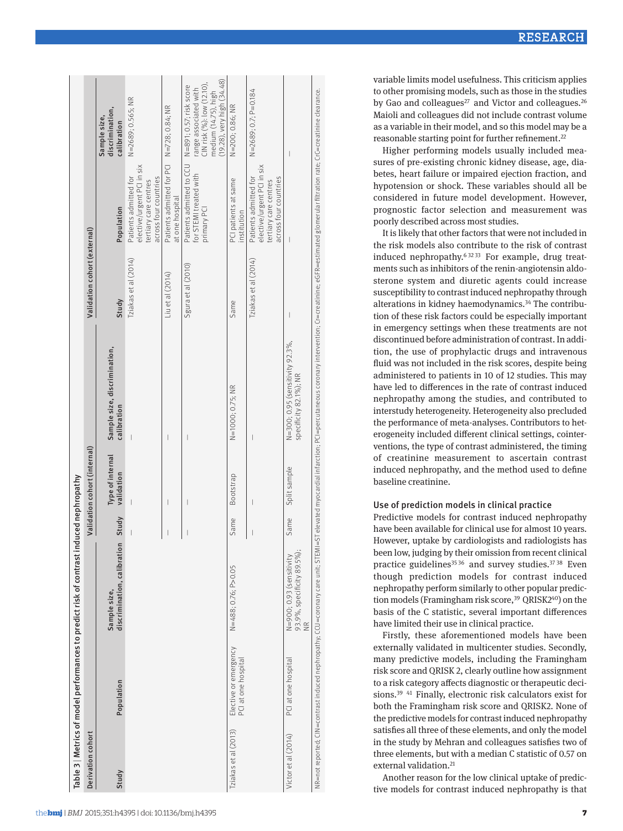## Use of prediction models in clinical practice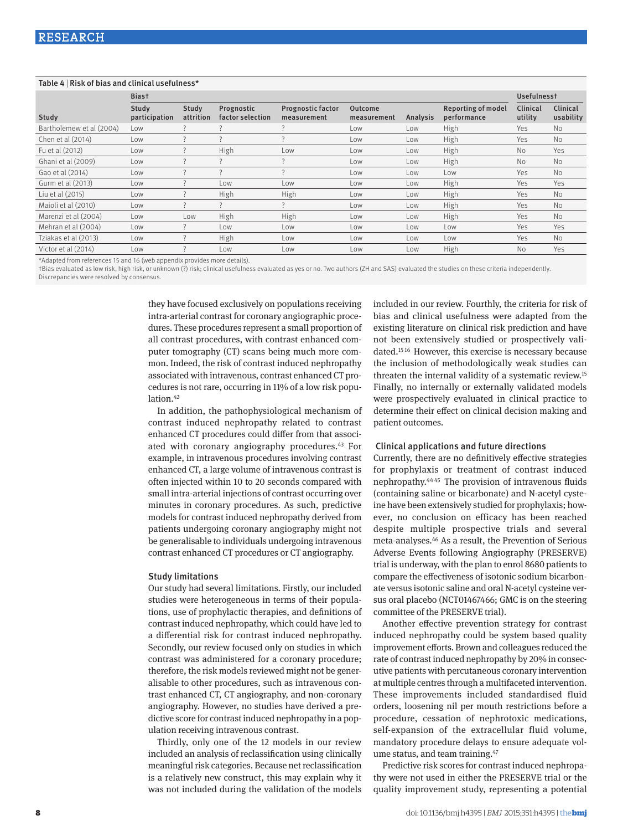## Table 4 | Risk of bias and clinical usefulness\*

|                          | <b>Biast</b>           | <b>Usefulnesst</b> |                                |                                         |                        |          |                                          |                     |                       |
|--------------------------|------------------------|--------------------|--------------------------------|-----------------------------------------|------------------------|----------|------------------------------------------|---------------------|-----------------------|
| Study                    | Study<br>participation | Study<br>attrition | Prognostic<br>factor selection | <b>Prognostic factor</b><br>measurement | Outcome<br>measurement | Analysis | <b>Reporting of model</b><br>performance | Clinical<br>utility | Clinical<br>usability |
| Bartholemew et al (2004) | Low                    | 7                  |                                |                                         | Low                    | Low      | High                                     | Yes                 | <b>No</b>             |
| Chen et al (2014)        | Low                    |                    |                                |                                         | Low                    | Low      | High                                     | Yes                 | No.                   |
| Fu et al (2012)          | Low                    |                    | High                           | Low                                     | Low                    | Low      | High                                     | No.                 | Yes                   |
| Ghani et al (2009)       | Low                    |                    |                                |                                         | Low                    | Low      | High                                     | <b>No</b>           | <b>No</b>             |
| Gao et al (2014)         | Low                    |                    |                                |                                         | Low                    | Low      | Low                                      | Yes                 | <b>No</b>             |
| Gurm et al (2013)        | Low                    |                    | Low                            | Low                                     | Low                    | Low      | High                                     | Yes                 | Yes                   |
| Liu et al (2015)         | Low                    |                    | High                           | High                                    | Low                    | Low      | High                                     | Yes                 | <b>No</b>             |
| Maioli et al (2010)      | Low                    |                    | $\overline{\phantom{0}}$       |                                         | Low                    | Low      | High                                     | Yes                 | <b>No</b>             |
| Marenzi et al (2004)     | Low                    | Low                | High                           | High                                    | Low                    | Low      | High                                     | Yes                 | <b>No</b>             |
| Mehran et al (2004)      | Low                    | 7                  | Low                            | Low                                     | Low                    | Low      | Low                                      | Yes                 | Yes                   |
| Tziakas et al (2013)     | Low                    |                    | High                           | Low                                     | Low                    | Low      | Low                                      | Yes                 | <b>No</b>             |
| Victor et al (2014)      | Low                    |                    | Low                            | Low                                     | Low                    | Low      | High                                     | <b>No</b>           | Yes                   |

\*Adapted from references 15 and 16 (web appendix provides more details).

†Bias evaluated as low risk, high risk, or unknown (?) risk; clinical usefulness evaluated as yes or no. Two authors (ZH and SAS) evaluated the studies on these criteria independently.

Discrepancies were resolved by consensus.

they have focused exclusively on populations receiving intra-arterial contrast for coronary angiographic procedures. These procedures represent a small proportion of all contrast procedures, with contrast enhanced computer tomography (CT) scans being much more common. Indeed, the risk of contrast induced nephropathy associated with intravenous, contrast enhanced CT procedures is not rare, occurring in 11% of a low risk population.<sup>42</sup>

In addition, the pathophysiological mechanism of contrast induced nephropathy related to contrast enhanced CT procedures could differ from that associated with coronary angiography procedures.<sup>43</sup> For example, in intravenous procedures involving contrast enhanced CT, a large volume of intravenous contrast is often injected within 10 to 20 seconds compared with small intra-arterial injections of contrast occurring over minutes in coronary procedures. As such, predictive models for contrast induced nephropathy derived from patients undergoing coronary angiography might not be generalisable to individuals undergoing intravenous contrast enhanced CT procedures or CT angiography.

#### Study limitations

Our study had several limitations. Firstly, our included studies were heterogeneous in terms of their populations, use of prophylactic therapies, and definitions of contrast induced nephropathy, which could have led to a differential risk for contrast induced nephropathy. Secondly, our review focused only on studies in which contrast was administered for a coronary procedure; therefore, the risk models reviewed might not be generalisable to other procedures, such as intravenous contrast enhanced CT, CT angiography, and non-coronary angiography. However, no studies have derived a predictive score for contrast induced nephropathy in a population receiving intravenous contrast.

Thirdly, only one of the 12 models in our review included an analysis of reclassification using clinically meaningful risk categories. Because net reclassification is a relatively new construct, this may explain why it was not included during the validation of the models

included in our review. Fourthly, the criteria for risk of bias and clinical usefulness were adapted from the existing literature on clinical risk prediction and have not been extensively studied or prospectively validated.[15](#page-9-2) [16](#page-9-3) However, this exercise is necessary because the inclusion of methodologically weak studies can threaten the internal validity of a systematic review[.15](#page-9-2) Finally, no internally or externally validated models were prospectively evaluated in clinical practice to determine their effect on clinical decision making and patient outcomes.

#### Clinical applications and future directions

Currently, there are no definitively effective strategies for prophylaxis or treatment of contrast induced nephropathy.[44](#page-9-28) [45](#page-9-29) The provision of intravenous fluids (containing saline or bicarbonate) and N-acetyl cysteine have been extensively studied for prophylaxis; however, no conclusion on efficacy has been reached despite multiple prospective trials and several meta-analyses[.46](#page-9-30) As a result, the Prevention of Serious Adverse Events following Angiography (PRESERVE) trial is underway, with the plan to enrol 8680 patients to compare the effectiveness of isotonic sodium bicarbonate versus isotonic saline and oral N-acetyl cysteine versus oral placebo (NCT01467466; GMC is on the steering committee of the PRESERVE trial).

Another effective prevention strategy for contrast induced nephropathy could be system based quality improvement efforts. Brown and colleagues reduced the rate of contrast induced nephropathy by 20% in consecutive patients with percutaneous coronary intervention at multiple centres through a multifaceted intervention. These improvements included standardised fluid orders, loosening nil per mouth restrictions before a procedure, cessation of nephrotoxic medications, self-expansion of the extracellular fluid volume, mandatory procedure delays to ensure adequate volume status, and team training.<sup>47</sup>

Predictive risk scores for contrast induced nephropathy were not used in either the PRESERVE trial or the quality improvement study, representing a potential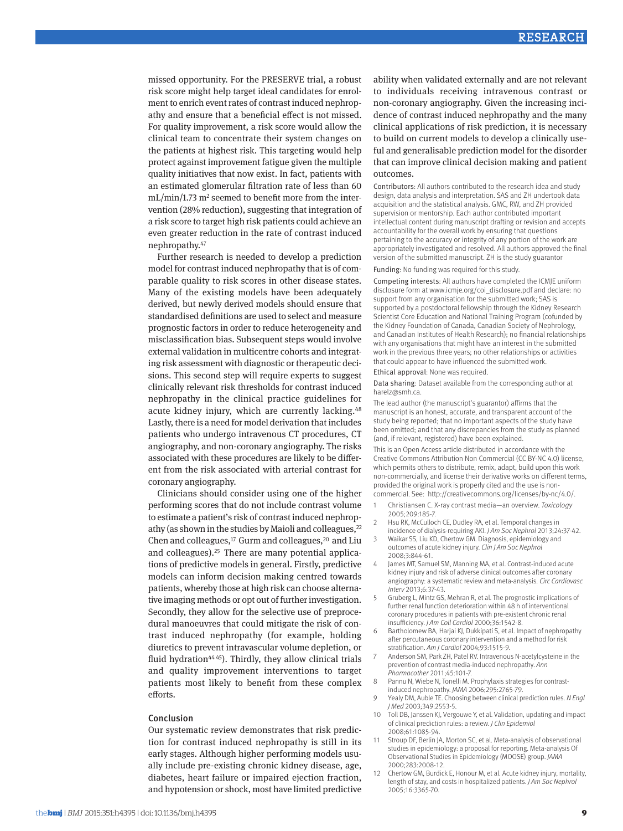missed opportunity. For the PRESERVE trial, a robust risk score might help target ideal candidates for enrolment to enrich event rates of contrast induced nephropathy and ensure that a beneficial effect is not missed. For quality improvement, a risk score would allow the clinical team to concentrate their system changes on the patients at highest risk. This targeting would help protect against improvement fatigue given the multiple quality initiatives that now exist. In fact, patients with an estimated glomerular filtration rate of less than 60 mL/min/1.73 m<sup>2</sup> seemed to benefit more from the intervention (28% reduction), suggesting that integration of a risk score to target high risk patients could achieve an even greater reduction in the rate of contrast induced nephropathy.[47](#page-9-31)

Further research is needed to develop a prediction model for contrast induced nephropathy that is of comparable quality to risk scores in other disease states. Many of the existing models have been adequately derived, but newly derived models should ensure that standardised definitions are used to select and measure prognostic factors in order to reduce heterogeneity and misclassification bias. Subsequent steps would involve external validation in multicentre cohorts and integrating risk assessment with diagnostic or therapeutic decisions. This second step will require experts to suggest clinically relevant risk thresholds for contrast induced nephropathy in the clinical practice guidelines for acute kidney injury, which are currently lacking.<sup>[48](#page-9-32)</sup> Lastly, there is a need for model derivation that includes patients who undergo intravenous CT procedures, CT angiography, and non-coronary angiography. The risks associated with these procedures are likely to be different from the risk associated with arterial contrast for coronary angiography.

Clinicians should consider using one of the higher performing scores that do not include contrast volume to estimate a patient's risk of contrast induced nephropathy (as shown in the studies by Maioli and colleagues, $^{22}$  $^{22}$  $^{22}$ Chen and colleagues, $17$  Gurm and colleagues, $20$  and Liu and colleagues).[25](#page-9-33) There are many potential applications of predictive models in general. Firstly, predictive models can inform decision making centred towards patients, whereby those at high risk can choose alternative imaging methods or opt out of further investigation. Secondly, they allow for the selective use of preprocedural manoeuvres that could mitigate the risk of contrast induced nephropathy (for example, holding diuretics to prevent intravascular volume depletion, or fluid hydration $4445$  $4445$ ). Thirdly, they allow clinical trials and quality improvement interventions to target patients most likely to benefit from these complex efforts.

#### Conclusion

Our systematic review demonstrates that risk prediction for contrast induced nephropathy is still in its early stages. Although higher performing models usually include pre-existing chronic kidney disease, age, diabetes, heart failure or impaired ejection fraction, and hypotension or shock, most have limited predictive ability when validated externally and are not relevant to individuals receiving intravenous contrast or non-coronary angiography. Given the increasing incidence of contrast induced nephropathy and the many clinical applications of risk prediction, it is necessary to build on current models to develop a clinically useful and generalisable prediction model for the disorder that can improve clinical decision making and patient outcomes.

Contributors: All authors contributed to the research idea and study design, data analysis and interpretation. SAS and ZH undertook data acquisition and the statistical analysis. GMC, RW, and ZH provided supervision or mentorship. Each author contributed important intellectual content during manuscript drafting or revision and accepts accountability for the overall work by ensuring that questions pertaining to the accuracy or integrity of any portion of the work are appropriately investigated and resolved. All authors approved the final version of the submitted manuscript. ZH is the study guarantor

Funding: No funding was required for this study.

Competing interests: All authors have completed the ICMJE uniform disclosure form at [www.icmje.org/coi\\_disclosure.pdf](http://www.icmje.org/coi_disclosure.pdf) and declare: no support from any organisation for the submitted work; SAS is supported by a postdoctoral fellowship through the Kidney Research Scientist Core Education and National Training Program (cofunded by the Kidney Foundation of Canada, Canadian Society of Nephrology, and Canadian Institutes of Health Research); no financial relationships with any organisations that might have an interest in the submitted work in the previous three years; no other relationships or activities that could appear to have influenced the submitted work.

Ethical approval: None was required.

Data sharing: Dataset available from the corresponding author at harelz@smh.ca.

The lead author (the manuscript's guarantor) affirms that the manuscript is an honest, accurate, and transparent account of the study being reported; that no important aspects of the study have been omitted; and that any discrepancies from the study as planned (and, if relevant, registered) have been explained.

This is an Open Access article distributed in accordance with the Creative Commons Attribution Non Commercial (CC BY-NC 4.0) license, which permits others to distribute, remix, adapt, build upon this work non-commercially, and license their derivative works on different terms, provided the original work is properly cited and the use is noncommercial. See: http://creativecommons.org/licenses/by-nc/4.0/.

- <span id="page-8-0"></span>1 Christiansen C. X-ray contrast media—an overview. *Toxicology* 2005;209:185-7.
- <span id="page-8-1"></span>2 Hsu RK, McCulloch CE, Dudley RA, et al. Temporal changes in incidence of dialysis-requiring AKI. *J Am Soc Nephrol* 2013;24:37-42.
- <span id="page-8-2"></span>Waikar SS, Liu KD, Chertow GM. Diagnosis, epidemiology and outcomes of acute kidney injury. *Clin J Am Soc Nephrol* 2008;3:844-61.
- <span id="page-8-3"></span>James MT, Samuel SM, Manning MA, et al. Contrast-induced acute kidney injury and risk of adverse clinical outcomes after coronary angiography: a systematic review and meta-analysis. *Circ Cardiovasc Interv* 2013;6:37-43.
- 5 Gruberg L, Mintz GS, Mehran R, et al. The prognostic implications of further renal function deterioration within 48 h of interventional coronary procedures in patients with pre-existent chronic renal insufficiency. *J Am Coll Cardiol* 2000;36:1542-8.
- <span id="page-8-4"></span>Bartholomew BA, Harjai KJ, Dukkipati S, et al. Impact of nephropathy after percutaneous coronary intervention and a method for risk stratification. *Am J Cardiol* 2004;93:1515-9.
- <span id="page-8-5"></span>Anderson SM, Park ZH, Patel RV. Intravenous N-acetylcysteine in the prevention of contrast media-induced nephropathy. *Ann Pharmacother* 2011;45:101-7.
- <span id="page-8-6"></span>8 Pannu N, Wiebe N, Tonelli M. Prophylaxis strategies for contrastinduced nephropathy. *JAMA* 2006;295:2765-79.
- <span id="page-8-7"></span>9 Yealy DM, Auble TE. Choosing between clinical prediction rules. *N Engl J Med* 2003;349:2553-5.
- <span id="page-8-8"></span>10 Toll DB, Janssen KJ, Vergouwe Y, et al. Validation, updating and impact of clinical prediction rules: a review. *J Clin Epidemiol* 2008;61:1085-94.
- <span id="page-8-9"></span>11 Stroup DF, Berlin JA, Morton SC, et al. Meta-analysis of observational studies in epidemiology: a proposal for reporting. Meta-analysis Of Observational Studies in Epidemiology (MOOSE) group. *JAMA* 2000;283:2008-12.
- <span id="page-8-10"></span>12 Chertow GM, Burdick E, Honour M, et al. Acute kidney injury, mortality, length of stay, and costs in hospitalized patients. *J Am Soc Nephrol* 2005;16:3365-70.